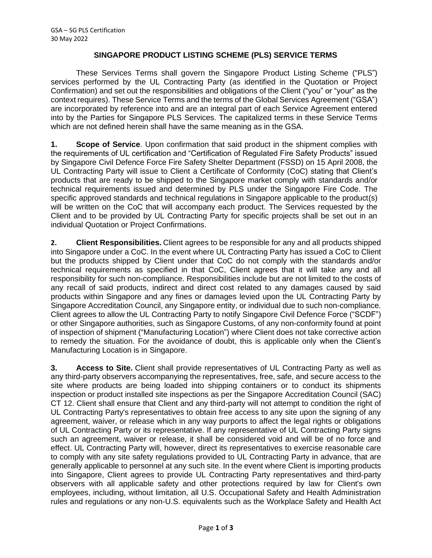## **SINGAPORE PRODUCT LISTING SCHEME (PLS) SERVICE TERMS**

These Services Terms shall govern the Singapore Product Listing Scheme ("PLS") services performed by the UL Contracting Party (as identified in the Quotation or Project Confirmation) and set out the responsibilities and obligations of the Client ("you" or "your" as the context requires). These Service Terms and the terms of the Global Services Agreement ("GSA") are incorporated by reference into and are an integral part of each Service Agreement entered into by the Parties for Singapore PLS Services. The capitalized terms in these Service Terms which are not defined herein shall have the same meaning as in the GSA.

**1. Scope of Service**. Upon confirmation that said product in the shipment complies with the requirements of UL certification and "Certification of Regulated Fire Safety Products" issued by Singapore Civil Defence Force Fire Safety Shelter Department (FSSD) on 15 April 2008, the UL Contracting Party will issue to Client a Certificate of Conformity (CoC) stating that Client's products that are ready to be shipped to the Singapore market comply with standards and/or technical requirements issued and determined by PLS under the Singapore Fire Code. The specific approved standards and technical regulations in Singapore applicable to the product(s) will be written on the CoC that will accompany each product. The Services requested by the Client and to be provided by UL Contracting Party for specific projects shall be set out in an individual Quotation or Project Confirmations.

**2. Client Responsibilities.** Client agrees to be responsible for any and all products shipped into Singapore under a CoC. In the event where UL Contracting Party has issued a CoC to Client but the products shipped by Client under that CoC do not comply with the standards and/or technical requirements as specified in that CoC, Client agrees that it will take any and all responsibility for such non-compliance. Responsibilities include but are not limited to the costs of any recall of said products, indirect and direct cost related to any damages caused by said products within Singapore and any fines or damages levied upon the UL Contracting Party by Singapore Accreditation Council, any Singapore entity, or individual due to such non-compliance. Client agrees to allow the UL Contracting Party to notify Singapore Civil Defence Force ("SCDF") or other Singapore authorities, such as Singapore Customs, of any non-conformity found at point of inspection of shipment ("Manufacturing Location") where Client does not take corrective action to remedy the situation. For the avoidance of doubt, this is applicable only when the Client's Manufacturing Location is in Singapore.

**3. Access to Site.** Client shall provide representatives of UL Contracting Party as well as any third-party observers accompanying the representatives, free, safe, and secure access to the site where products are being loaded into shipping containers or to conduct its shipments inspection or product installed site inspections as per the Singapore Accreditation Council (SAC) CT 12. Client shall ensure that Client and any third-party will not attempt to condition the right of UL Contracting Party's representatives to obtain free access to any site upon the signing of any agreement, waiver, or release which in any way purports to affect the legal rights or obligations of UL Contracting Party or its representative. If any representative of UL Contracting Party signs such an agreement, waiver or release, it shall be considered void and will be of no force and effect. UL Contracting Party will, however, direct its representatives to exercise reasonable care to comply with any site safety regulations provided to UL Contracting Party in advance, that are generally applicable to personnel at any such site. In the event where Client is importing products into Singapore, Client agrees to provide UL Contracting Party representatives and third-party observers with all applicable safety and other protections required by law for Client's own employees, including, without limitation, all U.S. Occupational Safety and Health Administration rules and regulations or any non-U.S. equivalents such as the Workplace Safety and Health Act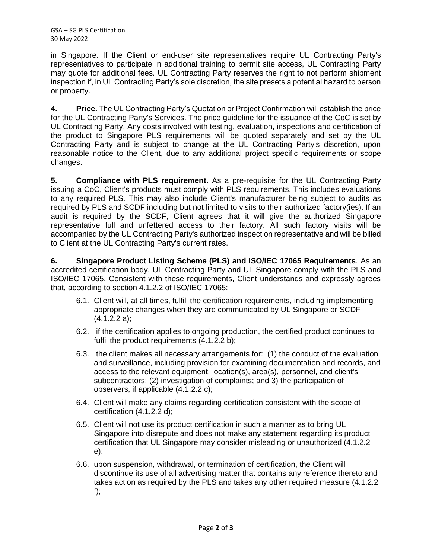GSA – SG PLS Certification 30 May 2022

in Singapore. If the Client or end-user site representatives require UL Contracting Party's representatives to participate in additional training to permit site access, UL Contracting Party may quote for additional fees. UL Contracting Party reserves the right to not perform shipment inspection if, in UL Contracting Party's sole discretion, the site presets a potential hazard to person or property.

**4. Price.** The UL Contracting Party's Quotation or Project Confirmation will establish the price for the UL Contracting Party's Services. The price guideline for the issuance of the CoC is set by UL Contracting Party. Any costs involved with testing, evaluation, inspections and certification of the product to Singapore PLS requirements will be quoted separately and set by the UL Contracting Party and is subject to change at the UL Contracting Party's discretion, upon reasonable notice to the Client, due to any additional project specific requirements or scope changes.

**5. Compliance with PLS requirement.** As a pre-requisite for the UL Contracting Party issuing a CoC, Client's products must comply with PLS requirements. This includes evaluations to any required PLS. This may also include Client's manufacturer being subject to audits as required by PLS and SCDF including but not limited to visits to their authorized factory(ies). If an audit is required by the SCDF, Client agrees that it will give the authorized Singapore representative full and unfettered access to their factory. All such factory visits will be accompanied by the UL Contracting Party's authorized inspection representative and will be billed to Client at the UL Contracting Party's current rates.

**6. Singapore Product Listing Scheme (PLS) and ISO/IEC 17065 Requirements**. As an accredited certification body, UL Contracting Party and UL Singapore comply with the PLS and ISO/IEC 17065. Consistent with these requirements, Client understands and expressly agrees that, according to section 4.1.2.2 of ISO/IEC 17065:

- 6.1. Client will, at all times, fulfill the certification requirements, including implementing appropriate changes when they are communicated by UL Singapore or SCDF (4.1.2.2 a);
- 6.2. if the certification applies to ongoing production, the certified product continues to fulfil the product requirements (4.1.2.2 b);
- 6.3. the client makes all necessary arrangements for: (1) the conduct of the evaluation and surveillance, including provision for examining documentation and records, and access to the relevant equipment, location(s), area(s), personnel, and client's subcontractors; (2) investigation of complaints; and 3) the participation of observers, if applicable (4.1.2.2 c);
- 6.4. Client will make any claims regarding certification consistent with the scope of certification (4.1.2.2 d);
- 6.5. Client will not use its product certification in such a manner as to bring UL Singapore into disrepute and does not make any statement regarding its product certification that UL Singapore may consider misleading or unauthorized (4.1.2.2 e);
- 6.6. upon suspension, withdrawal, or termination of certification, the Client will discontinue its use of all advertising matter that contains any reference thereto and takes action as required by the PLS and takes any other required measure (4.1.2.2 f);